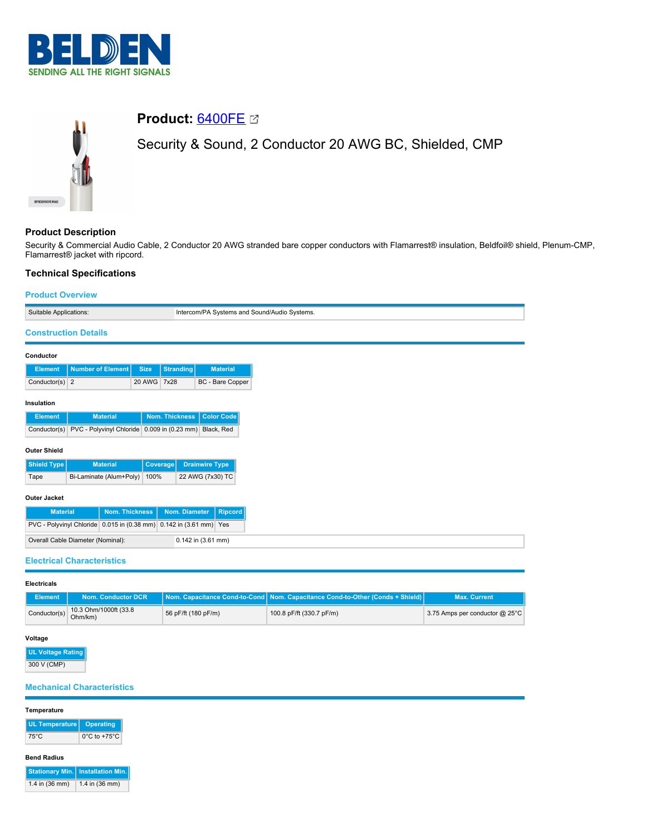



# **Product:** [6400FE](https://catalog.belden.com/index.cfm?event=pd&p=PF_6400FE&tab=downloads)

Security & Sound, 2 Conductor 20 AWG BC, Shielded, CMP

# **Product Description**

Security & Commercial Audio Cable, 2 Conductor 20 AWG stranded bare copper conductors with Flamarrest® insulation, Beldfoil® shield, Plenum-CMP, Flamarrest® jacket with ripcord.

# **Technical Specifications**

# **Product Overview**

| Suitable Applications:            |                                                                    |             |                | Intercom/PA Systems and Sound/Audio Systems. |
|-----------------------------------|--------------------------------------------------------------------|-------------|----------------|----------------------------------------------|
| <b>Construction Details</b>       |                                                                    |             |                |                                              |
| Conductor                         |                                                                    |             |                |                                              |
| <b>Element</b>                    | <b>Number of Element</b>                                           | <b>Size</b> | Stranding      | <b>Material</b>                              |
| Conductor(s) $2$                  |                                                                    | 20 AWG 7x28 |                | BC - Bare Copper                             |
| Insulation                        |                                                                    |             |                |                                              |
| <b>Element</b>                    | <b>Material</b>                                                    |             | Nom. Thickness | <b>Color Code</b>                            |
| Conductor(s)                      | PVC - Polyvinyl Chloride 0.009 in (0.23 mm) Black, Red             |             |                |                                              |
| <b>Outer Shield</b>               |                                                                    |             |                |                                              |
| Shield Type                       | <b>Material</b>                                                    | Coverage    |                | <b>Drainwire Type</b>                        |
| Tape                              | Bi-Laminate (Alum+Poly)                                            | 100%        |                | 22 AWG (7x30) TC                             |
| <b>Outer Jacket</b>               |                                                                    |             |                |                                              |
| <b>Material</b>                   | <b>Nom. Thickness</b>                                              |             | Nom. Diameter  | <b>Ripcord</b>                               |
|                                   | PVC - Polyvinyl Chloride 0.015 in (0.38 mm) 0.142 in (3.61 mm) Yes |             |                |                                              |
| Overall Cable Diameter (Nominal): |                                                                    |             |                | 0.142 in (3.61 mm)                           |
|                                   | <b>Electrical Characteristics</b>                                  |             |                |                                              |

### **Electricals**

| <b>Element</b>                                   | Nom. Conductor DCR |                     | Nom. Capacitance Cond-to-Cond Nom. Capacitance Cond-to-Other (Conds + Shield) | <b>Max. Current</b>            |  |
|--------------------------------------------------|--------------------|---------------------|-------------------------------------------------------------------------------|--------------------------------|--|
| 10.3 Ohm/1000ft (33.8<br>Conductor(s)<br>Ohm/km) |                    | 56 pF/ft (180 pF/m) | 100.8 pF/ft (330.7 pF/m)                                                      | 3.75 Amps per conductor @ 25°C |  |

# **Voltage**

**UL Voltage Rating** 300 V (CMP)

# **Mechanical Characteristics**

#### **Temperature**

| UL Temperature   Operating |                                   |
|----------------------------|-----------------------------------|
| 75°C                       | $0^{\circ}$ C to +75 $^{\circ}$ C |

#### **Bend Radius**

**Stationary Min. Installation Min.**  $1.4$  in (36 mm)  $1.4$  in (36 mm)